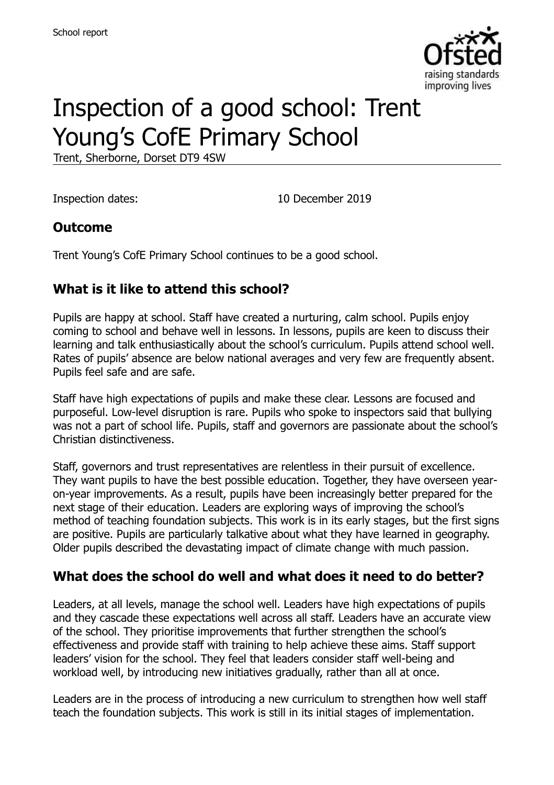

# Inspection of a good school: Trent Young's CofE Primary School

Trent, Sherborne, Dorset DT9 4SW

Inspection dates: 10 December 2019

#### **Outcome**

Trent Young's CofE Primary School continues to be a good school.

### **What is it like to attend this school?**

Pupils are happy at school. Staff have created a nurturing, calm school. Pupils enjoy coming to school and behave well in lessons. In lessons, pupils are keen to discuss their learning and talk enthusiastically about the school's curriculum. Pupils attend school well. Rates of pupils' absence are below national averages and very few are frequently absent. Pupils feel safe and are safe.

Staff have high expectations of pupils and make these clear. Lessons are focused and purposeful. Low-level disruption is rare. Pupils who spoke to inspectors said that bullying was not a part of school life. Pupils, staff and governors are passionate about the school's Christian distinctiveness.

Staff, governors and trust representatives are relentless in their pursuit of excellence. They want pupils to have the best possible education. Together, they have overseen yearon-year improvements. As a result, pupils have been increasingly better prepared for the next stage of their education. Leaders are exploring ways of improving the school's method of teaching foundation subjects. This work is in its early stages, but the first signs are positive. Pupils are particularly talkative about what they have learned in geography. Older pupils described the devastating impact of climate change with much passion.

#### **What does the school do well and what does it need to do better?**

Leaders, at all levels, manage the school well. Leaders have high expectations of pupils and they cascade these expectations well across all staff. Leaders have an accurate view of the school. They prioritise improvements that further strengthen the school's effectiveness and provide staff with training to help achieve these aims. Staff support leaders' vision for the school. They feel that leaders consider staff well-being and workload well, by introducing new initiatives gradually, rather than all at once.

Leaders are in the process of introducing a new curriculum to strengthen how well staff teach the foundation subjects. This work is still in its initial stages of implementation.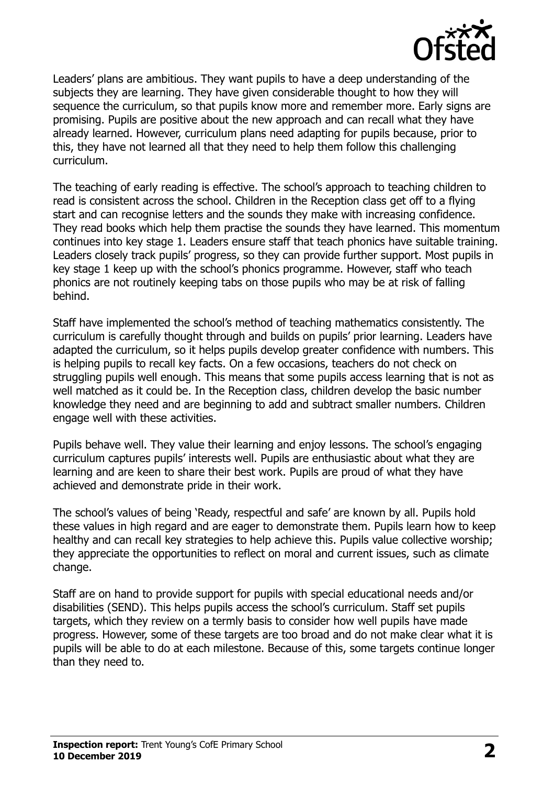

Leaders' plans are ambitious. They want pupils to have a deep understanding of the subjects they are learning. They have given considerable thought to how they will sequence the curriculum, so that pupils know more and remember more. Early signs are promising. Pupils are positive about the new approach and can recall what they have already learned. However, curriculum plans need adapting for pupils because, prior to this, they have not learned all that they need to help them follow this challenging curriculum.

The teaching of early reading is effective. The school's approach to teaching children to read is consistent across the school. Children in the Reception class get off to a flying start and can recognise letters and the sounds they make with increasing confidence. They read books which help them practise the sounds they have learned. This momentum continues into key stage 1. Leaders ensure staff that teach phonics have suitable training. Leaders closely track pupils' progress, so they can provide further support. Most pupils in key stage 1 keep up with the school's phonics programme. However, staff who teach phonics are not routinely keeping tabs on those pupils who may be at risk of falling behind.

Staff have implemented the school's method of teaching mathematics consistently. The curriculum is carefully thought through and builds on pupils' prior learning. Leaders have adapted the curriculum, so it helps pupils develop greater confidence with numbers. This is helping pupils to recall key facts. On a few occasions, teachers do not check on struggling pupils well enough. This means that some pupils access learning that is not as well matched as it could be. In the Reception class, children develop the basic number knowledge they need and are beginning to add and subtract smaller numbers. Children engage well with these activities.

Pupils behave well. They value their learning and enjoy lessons. The school's engaging curriculum captures pupils' interests well. Pupils are enthusiastic about what they are learning and are keen to share their best work. Pupils are proud of what they have achieved and demonstrate pride in their work.

The school's values of being 'Ready, respectful and safe' are known by all. Pupils hold these values in high regard and are eager to demonstrate them. Pupils learn how to keep healthy and can recall key strategies to help achieve this. Pupils value collective worship; they appreciate the opportunities to reflect on moral and current issues, such as climate change.

Staff are on hand to provide support for pupils with special educational needs and/or disabilities (SEND). This helps pupils access the school's curriculum. Staff set pupils targets, which they review on a termly basis to consider how well pupils have made progress. However, some of these targets are too broad and do not make clear what it is pupils will be able to do at each milestone. Because of this, some targets continue longer than they need to.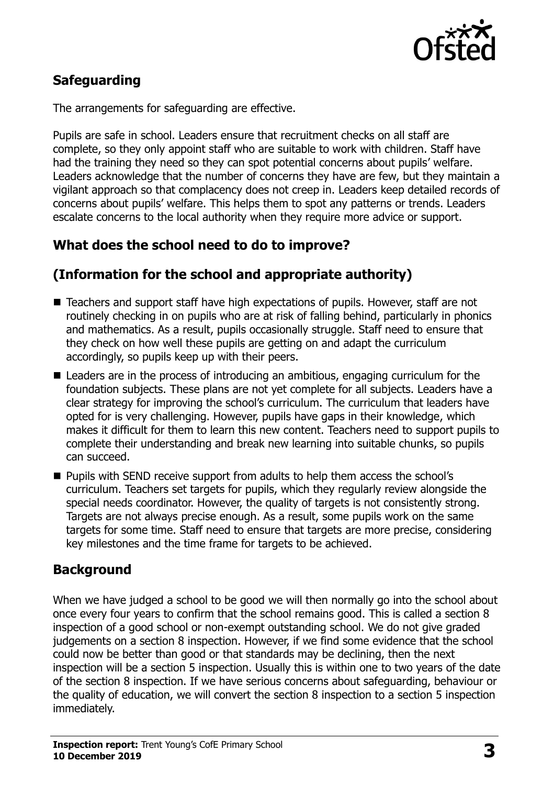

# **Safeguarding**

The arrangements for safeguarding are effective.

Pupils are safe in school. Leaders ensure that recruitment checks on all staff are complete, so they only appoint staff who are suitable to work with children. Staff have had the training they need so they can spot potential concerns about pupils' welfare. Leaders acknowledge that the number of concerns they have are few, but they maintain a vigilant approach so that complacency does not creep in. Leaders keep detailed records of concerns about pupils' welfare. This helps them to spot any patterns or trends. Leaders escalate concerns to the local authority when they require more advice or support.

# **What does the school need to do to improve?**

# **(Information for the school and appropriate authority)**

- Teachers and support staff have high expectations of pupils. However, staff are not routinely checking in on pupils who are at risk of falling behind, particularly in phonics and mathematics. As a result, pupils occasionally struggle. Staff need to ensure that they check on how well these pupils are getting on and adapt the curriculum accordingly, so pupils keep up with their peers.
- Leaders are in the process of introducing an ambitious, engaging curriculum for the foundation subjects. These plans are not yet complete for all subjects. Leaders have a clear strategy for improving the school's curriculum. The curriculum that leaders have opted for is very challenging. However, pupils have gaps in their knowledge, which makes it difficult for them to learn this new content. Teachers need to support pupils to complete their understanding and break new learning into suitable chunks, so pupils can succeed.
- **Pupils with SEND receive support from adults to help them access the school's** curriculum. Teachers set targets for pupils, which they regularly review alongside the special needs coordinator. However, the quality of targets is not consistently strong. Targets are not always precise enough. As a result, some pupils work on the same targets for some time. Staff need to ensure that targets are more precise, considering key milestones and the time frame for targets to be achieved.

# **Background**

When we have judged a school to be good we will then normally go into the school about once every four years to confirm that the school remains good. This is called a section 8 inspection of a good school or non-exempt outstanding school. We do not give graded judgements on a section 8 inspection. However, if we find some evidence that the school could now be better than good or that standards may be declining, then the next inspection will be a section 5 inspection. Usually this is within one to two years of the date of the section 8 inspection. If we have serious concerns about safeguarding, behaviour or the quality of education, we will convert the section 8 inspection to a section 5 inspection immediately.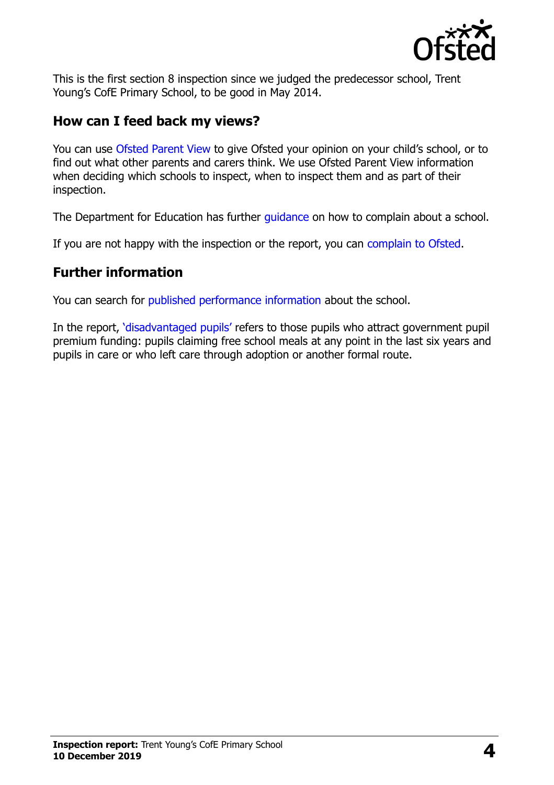

This is the first section 8 inspection since we judged the predecessor school, Trent Young's CofE Primary School, to be good in May 2014.

#### **How can I feed back my views?**

You can use [Ofsted Parent View](https://parentview.ofsted.gov.uk/) to give Ofsted your opinion on your child's school, or to find out what other parents and carers think. We use Ofsted Parent View information when deciding which schools to inspect, when to inspect them and as part of their inspection.

The Department for Education has further quidance on how to complain about a school.

If you are not happy with the inspection or the report, you can [complain to Ofsted.](https://www.gov.uk/complain-ofsted-report)

#### **Further information**

You can search for [published performance information](http://www.compare-school-performance.service.gov.uk/) about the school.

In the report, '[disadvantaged pupils](http://www.gov.uk/guidance/pupil-premium-information-for-schools-and-alternative-provision-settings)' refers to those pupils who attract government pupil premium funding: pupils claiming free school meals at any point in the last six years and pupils in care or who left care through adoption or another formal route.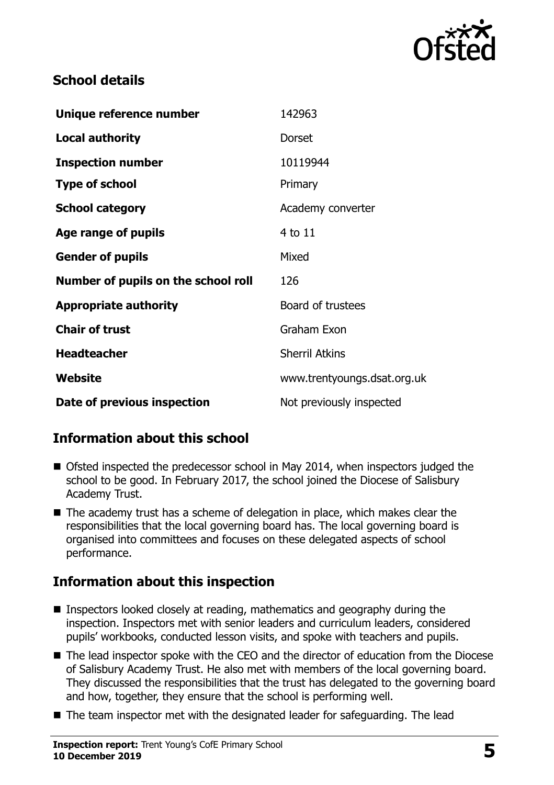

### **School details**

| Unique reference number             | 142963                      |
|-------------------------------------|-----------------------------|
| <b>Local authority</b>              | Dorset                      |
| <b>Inspection number</b>            | 10119944                    |
| <b>Type of school</b>               | Primary                     |
| <b>School category</b>              | Academy converter           |
| Age range of pupils                 | 4 to 11                     |
| <b>Gender of pupils</b>             | Mixed                       |
| Number of pupils on the school roll | 126                         |
| <b>Appropriate authority</b>        | Board of trustees           |
| <b>Chair of trust</b>               | Graham Exon                 |
| <b>Headteacher</b>                  | <b>Sherril Atkins</b>       |
| Website                             | www.trentyoungs.dsat.org.uk |
| Date of previous inspection         | Not previously inspected    |

# **Information about this school**

- Ofsted inspected the predecessor school in May 2014, when inspectors judged the school to be good. In February 2017, the school joined the Diocese of Salisbury Academy Trust.
- The academy trust has a scheme of delegation in place, which makes clear the responsibilities that the local governing board has. The local governing board is organised into committees and focuses on these delegated aspects of school performance.

# **Information about this inspection**

- Inspectors looked closely at reading, mathematics and geography during the inspection. Inspectors met with senior leaders and curriculum leaders, considered pupils' workbooks, conducted lesson visits, and spoke with teachers and pupils.
- The lead inspector spoke with the CEO and the director of education from the Diocese of Salisbury Academy Trust. He also met with members of the local governing board. They discussed the responsibilities that the trust has delegated to the governing board and how, together, they ensure that the school is performing well.
- The team inspector met with the designated leader for safeguarding. The lead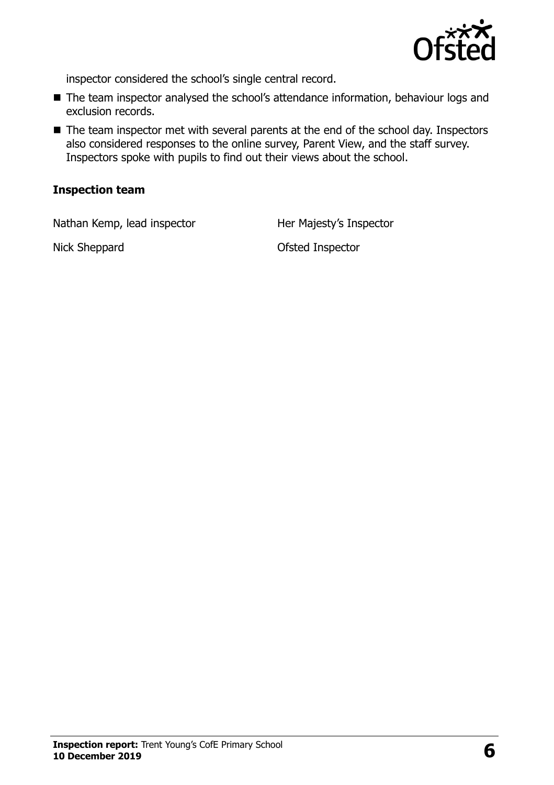

inspector considered the school's single central record.

- The team inspector analysed the school's attendance information, behaviour logs and exclusion records.
- The team inspector met with several parents at the end of the school day. Inspectors also considered responses to the online survey, Parent View, and the staff survey. Inspectors spoke with pupils to find out their views about the school.

#### **Inspection team**

Nathan Kemp, lead inspector Her Majesty's Inspector

Nick Sheppard **Ofsted Inspector**